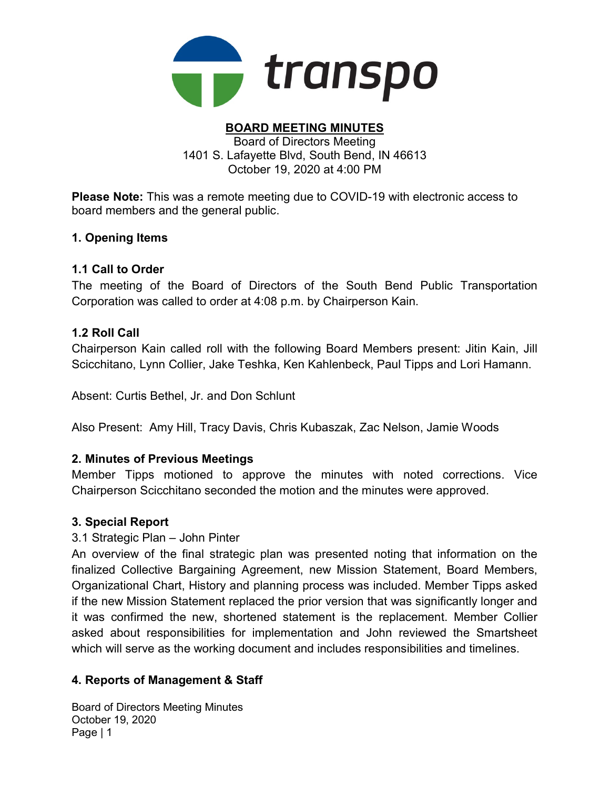

#### BOARD MEETING MINUTES Board of Directors Meeting 1401 S. Lafayette Blvd, South Bend, IN 46613

October 19, 2020 at 4:00 PM

Please Note: This was a remote meeting due to COVID-19 with electronic access to board members and the general public.

# 1. Opening Items

# 1.1 Call to Order

The meeting of the Board of Directors of the South Bend Public Transportation Corporation was called to order at 4:08 p.m. by Chairperson Kain.

# 1.2 Roll Call

Chairperson Kain called roll with the following Board Members present: Jitin Kain, Jill Scicchitano, Lynn Collier, Jake Teshka, Ken Kahlenbeck, Paul Tipps and Lori Hamann.

Absent: Curtis Bethel, Jr. and Don Schlunt

Also Present: Amy Hill, Tracy Davis, Chris Kubaszak, Zac Nelson, Jamie Woods

# 2. Minutes of Previous Meetings

Member Tipps motioned to approve the minutes with noted corrections. Vice Chairperson Scicchitano seconded the motion and the minutes were approved.

## 3. Special Report

## 3.1 Strategic Plan – John Pinter

An overview of the final strategic plan was presented noting that information on the finalized Collective Bargaining Agreement, new Mission Statement, Board Members, Organizational Chart, History and planning process was included. Member Tipps asked if the new Mission Statement replaced the prior version that was significantly longer and it was confirmed the new, shortened statement is the replacement. Member Collier asked about responsibilities for implementation and John reviewed the Smartsheet which will serve as the working document and includes responsibilities and timelines.

# 4. Reports of Management & Staff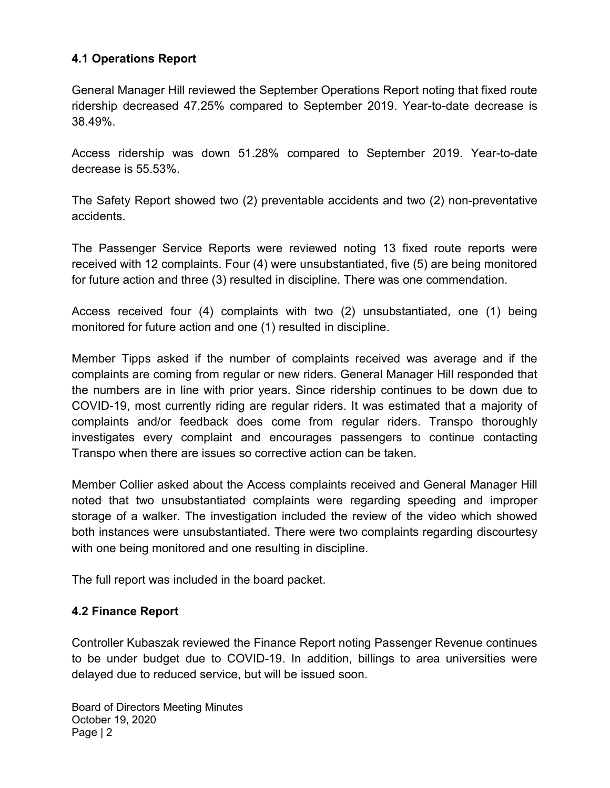## 4.1 Operations Report

General Manager Hill reviewed the September Operations Report noting that fixed route ridership decreased 47.25% compared to September 2019. Year-to-date decrease is 38.49%.

Access ridership was down 51.28% compared to September 2019. Year-to-date decrease is 55.53%.

The Safety Report showed two (2) preventable accidents and two (2) non-preventative accidents.

The Passenger Service Reports were reviewed noting 13 fixed route reports were received with 12 complaints. Four (4) were unsubstantiated, five (5) are being monitored for future action and three (3) resulted in discipline. There was one commendation.

Access received four (4) complaints with two (2) unsubstantiated, one (1) being monitored for future action and one (1) resulted in discipline.

Member Tipps asked if the number of complaints received was average and if the complaints are coming from regular or new riders. General Manager Hill responded that the numbers are in line with prior years. Since ridership continues to be down due to COVID-19, most currently riding are regular riders. It was estimated that a majority of complaints and/or feedback does come from regular riders. Transpo thoroughly investigates every complaint and encourages passengers to continue contacting Transpo when there are issues so corrective action can be taken.

Member Collier asked about the Access complaints received and General Manager Hill noted that two unsubstantiated complaints were regarding speeding and improper storage of a walker. The investigation included the review of the video which showed both instances were unsubstantiated. There were two complaints regarding discourtesy with one being monitored and one resulting in discipline.

The full report was included in the board packet.

## 4.2 Finance Report

Controller Kubaszak reviewed the Finance Report noting Passenger Revenue continues to be under budget due to COVID-19. In addition, billings to area universities were delayed due to reduced service, but will be issued soon.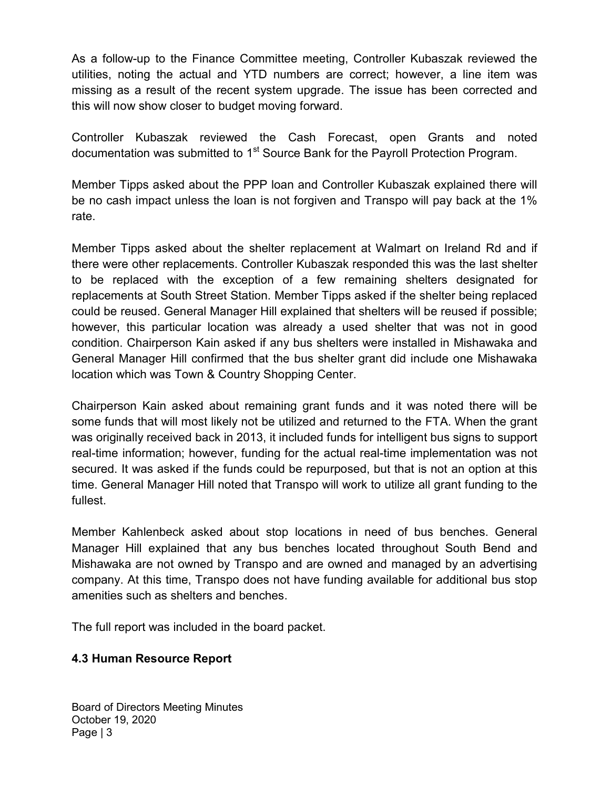As a follow-up to the Finance Committee meeting, Controller Kubaszak reviewed the utilities, noting the actual and YTD numbers are correct; however, a line item was missing as a result of the recent system upgrade. The issue has been corrected and this will now show closer to budget moving forward.

Controller Kubaszak reviewed the Cash Forecast, open Grants and noted documentation was submitted to  $1<sup>st</sup>$  Source Bank for the Payroll Protection Program.

Member Tipps asked about the PPP loan and Controller Kubaszak explained there will be no cash impact unless the loan is not forgiven and Transpo will pay back at the 1% rate.

Member Tipps asked about the shelter replacement at Walmart on Ireland Rd and if there were other replacements. Controller Kubaszak responded this was the last shelter to be replaced with the exception of a few remaining shelters designated for replacements at South Street Station. Member Tipps asked if the shelter being replaced could be reused. General Manager Hill explained that shelters will be reused if possible; however, this particular location was already a used shelter that was not in good condition. Chairperson Kain asked if any bus shelters were installed in Mishawaka and General Manager Hill confirmed that the bus shelter grant did include one Mishawaka location which was Town & Country Shopping Center.

Chairperson Kain asked about remaining grant funds and it was noted there will be some funds that will most likely not be utilized and returned to the FTA. When the grant was originally received back in 2013, it included funds for intelligent bus signs to support real-time information; however, funding for the actual real-time implementation was not secured. It was asked if the funds could be repurposed, but that is not an option at this time. General Manager Hill noted that Transpo will work to utilize all grant funding to the fullest.

Member Kahlenbeck asked about stop locations in need of bus benches. General Manager Hill explained that any bus benches located throughout South Bend and Mishawaka are not owned by Transpo and are owned and managed by an advertising company. At this time, Transpo does not have funding available for additional bus stop amenities such as shelters and benches.

The full report was included in the board packet.

## 4.3 Human Resource Report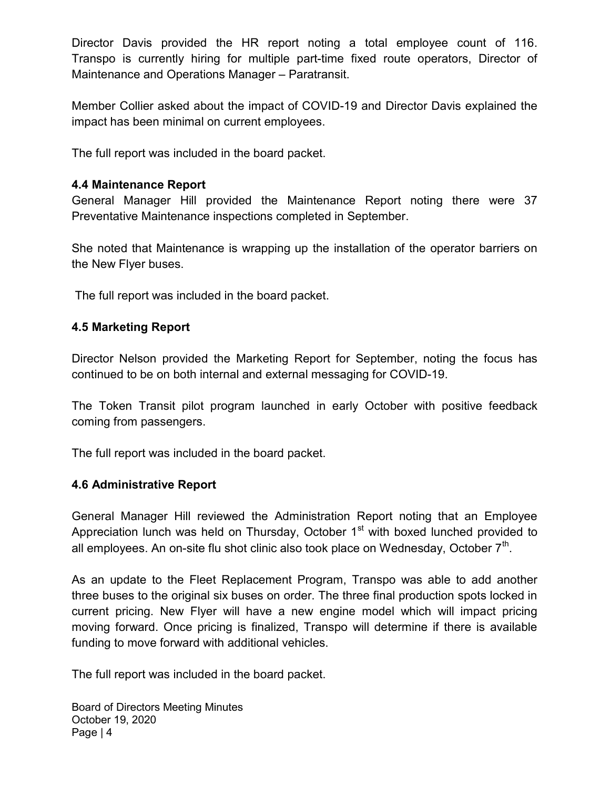Director Davis provided the HR report noting a total employee count of 116. Transpo is currently hiring for multiple part-time fixed route operators, Director of Maintenance and Operations Manager – Paratransit.

Member Collier asked about the impact of COVID-19 and Director Davis explained the impact has been minimal on current employees.

The full report was included in the board packet.

### 4.4 Maintenance Report

General Manager Hill provided the Maintenance Report noting there were 37 Preventative Maintenance inspections completed in September.

She noted that Maintenance is wrapping up the installation of the operator barriers on the New Flyer buses.

The full report was included in the board packet.

## 4.5 Marketing Report

Director Nelson provided the Marketing Report for September, noting the focus has continued to be on both internal and external messaging for COVID-19.

The Token Transit pilot program launched in early October with positive feedback coming from passengers.

The full report was included in the board packet.

### 4.6 Administrative Report

General Manager Hill reviewed the Administration Report noting that an Employee Appreciation lunch was held on Thursday, October  $1<sup>st</sup>$  with boxed lunched provided to all employees. An on-site flu shot clinic also took place on Wednesday, October 7 $^{\rm th}$ .

As an update to the Fleet Replacement Program, Transpo was able to add another three buses to the original six buses on order. The three final production spots locked in current pricing. New Flyer will have a new engine model which will impact pricing moving forward. Once pricing is finalized, Transpo will determine if there is available funding to move forward with additional vehicles.

The full report was included in the board packet.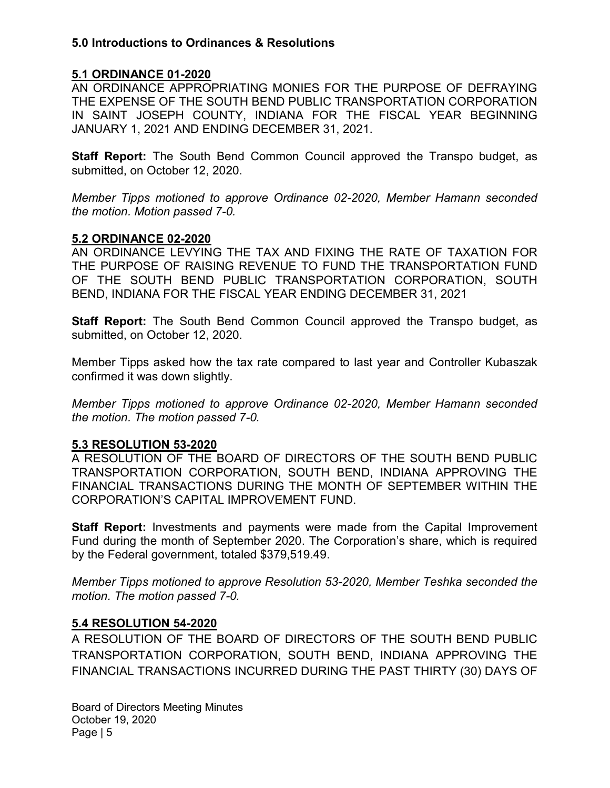### 5.0 Introductions to Ordinances & Resolutions

### 5.1 ORDINANCE 01-2020

AN ORDINANCE APPROPRIATING MONIES FOR THE PURPOSE OF DEFRAYING THE EXPENSE OF THE SOUTH BEND PUBLIC TRANSPORTATION CORPORATION IN SAINT JOSEPH COUNTY, INDIANA FOR THE FISCAL YEAR BEGINNING JANUARY 1, 2021 AND ENDING DECEMBER 31, 2021.

**Staff Report:** The South Bend Common Council approved the Transpo budget, as submitted, on October 12, 2020.

Member Tipps motioned to approve Ordinance 02-2020, Member Hamann seconded the motion. Motion passed 7-0.

#### 5.2 ORDINANCE 02-2020

AN ORDINANCE LEVYING THE TAX AND FIXING THE RATE OF TAXATION FOR THE PURPOSE OF RAISING REVENUE TO FUND THE TRANSPORTATION FUND OF THE SOUTH BEND PUBLIC TRANSPORTATION CORPORATION, SOUTH BEND, INDIANA FOR THE FISCAL YEAR ENDING DECEMBER 31, 2021

**Staff Report:** The South Bend Common Council approved the Transpo budget, as submitted, on October 12, 2020.

Member Tipps asked how the tax rate compared to last year and Controller Kubaszak confirmed it was down slightly.

Member Tipps motioned to approve Ordinance 02-2020, Member Hamann seconded the motion. The motion passed 7-0.

### 5.3 RESOLUTION 53-2020

A RESOLUTION OF THE BOARD OF DIRECTORS OF THE SOUTH BEND PUBLIC TRANSPORTATION CORPORATION, SOUTH BEND, INDIANA APPROVING THE FINANCIAL TRANSACTIONS DURING THE MONTH OF SEPTEMBER WITHIN THE CORPORATION'S CAPITAL IMPROVEMENT FUND.

**Staff Report:** Investments and payments were made from the Capital Improvement Fund during the month of September 2020. The Corporation's share, which is required by the Federal government, totaled \$379,519.49.

Member Tipps motioned to approve Resolution 53-2020, Member Teshka seconded the motion. The motion passed 7-0.

### 5.4 RESOLUTION 54-2020

A RESOLUTION OF THE BOARD OF DIRECTORS OF THE SOUTH BEND PUBLIC TRANSPORTATION CORPORATION, SOUTH BEND, INDIANA APPROVING THE FINANCIAL TRANSACTIONS INCURRED DURING THE PAST THIRTY (30) DAYS OF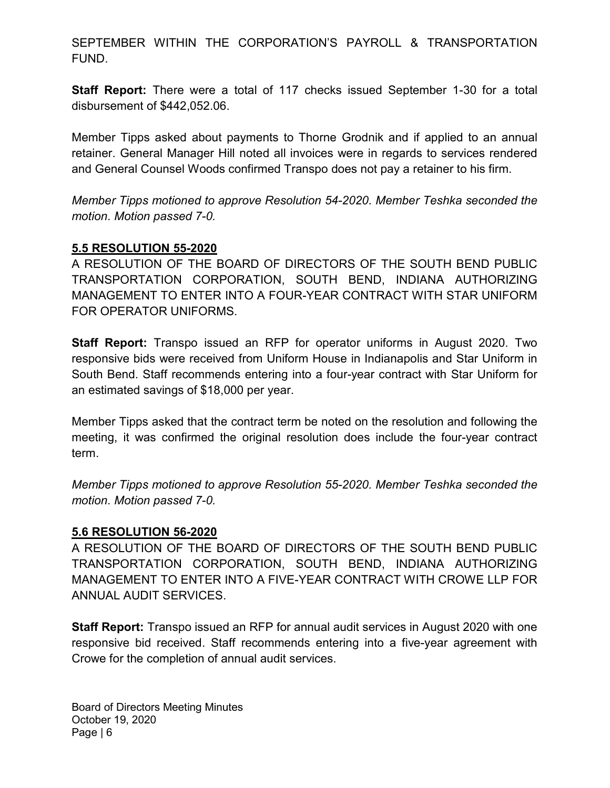SEPTEMBER WITHIN THE CORPORATION'S PAYROLL & TRANSPORTATION FUND.

Staff Report: There were a total of 117 checks issued September 1-30 for a total disbursement of \$442,052.06.

Member Tipps asked about payments to Thorne Grodnik and if applied to an annual retainer. General Manager Hill noted all invoices were in regards to services rendered and General Counsel Woods confirmed Transpo does not pay a retainer to his firm.

Member Tipps motioned to approve Resolution 54-2020. Member Teshka seconded the motion. Motion passed 7-0.

### 5.5 RESOLUTION 55-2020

A RESOLUTION OF THE BOARD OF DIRECTORS OF THE SOUTH BEND PUBLIC TRANSPORTATION CORPORATION, SOUTH BEND, INDIANA AUTHORIZING MANAGEMENT TO ENTER INTO A FOUR-YEAR CONTRACT WITH STAR UNIFORM FOR OPERATOR UNIFORMS.

Staff Report: Transpo issued an RFP for operator uniforms in August 2020. Two responsive bids were received from Uniform House in Indianapolis and Star Uniform in South Bend. Staff recommends entering into a four-year contract with Star Uniform for an estimated savings of \$18,000 per year.

Member Tipps asked that the contract term be noted on the resolution and following the meeting, it was confirmed the original resolution does include the four-year contract term.

Member Tipps motioned to approve Resolution 55-2020. Member Teshka seconded the motion. Motion passed 7-0.

### 5.6 RESOLUTION 56-2020

A RESOLUTION OF THE BOARD OF DIRECTORS OF THE SOUTH BEND PUBLIC TRANSPORTATION CORPORATION, SOUTH BEND, INDIANA AUTHORIZING MANAGEMENT TO ENTER INTO A FIVE-YEAR CONTRACT WITH CROWE LLP FOR ANNUAL AUDIT SERVICES.

Staff Report: Transpo issued an RFP for annual audit services in August 2020 with one responsive bid received. Staff recommends entering into a five-year agreement with Crowe for the completion of annual audit services.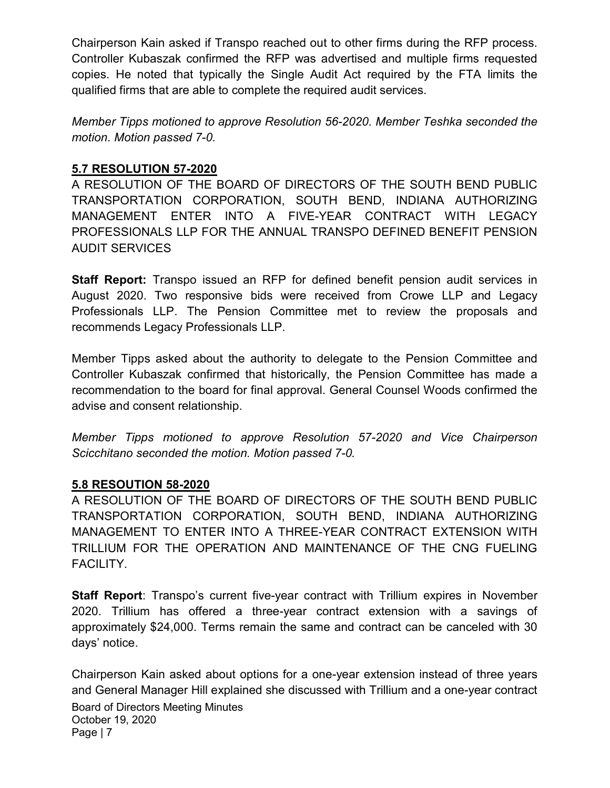Chairperson Kain asked if Transpo reached out to other firms during the RFP process. Controller Kubaszak confirmed the RFP was advertised and multiple firms requested copies. He noted that typically the Single Audit Act required by the FTA limits the qualified firms that are able to complete the required audit services.

Member Tipps motioned to approve Resolution 56-2020. Member Teshka seconded the motion. Motion passed 7-0.

## 5.7 RESOLUTION 57-2020

A RESOLUTION OF THE BOARD OF DIRECTORS OF THE SOUTH BEND PUBLIC TRANSPORTATION CORPORATION, SOUTH BEND, INDIANA AUTHORIZING MANAGEMENT ENTER INTO A FIVE-YEAR CONTRACT WITH LEGACY PROFESSIONALS LLP FOR THE ANNUAL TRANSPO DEFINED BENEFIT PENSION AUDIT SERVICES

Staff Report: Transpo issued an RFP for defined benefit pension audit services in August 2020. Two responsive bids were received from Crowe LLP and Legacy Professionals LLP. The Pension Committee met to review the proposals and recommends Legacy Professionals LLP.

Member Tipps asked about the authority to delegate to the Pension Committee and Controller Kubaszak confirmed that historically, the Pension Committee has made a recommendation to the board for final approval. General Counsel Woods confirmed the advise and consent relationship.

Member Tipps motioned to approve Resolution 57-2020 and Vice Chairperson Scicchitano seconded the motion. Motion passed 7-0.

## 5.8 RESOUTION 58-2020

A RESOLUTION OF THE BOARD OF DIRECTORS OF THE SOUTH BEND PUBLIC TRANSPORTATION CORPORATION, SOUTH BEND, INDIANA AUTHORIZING MANAGEMENT TO ENTER INTO A THREE-YEAR CONTRACT EXTENSION WITH TRILLIUM FOR THE OPERATION AND MAINTENANCE OF THE CNG FUELING FACILITY.

Staff Report: Transpo's current five-year contract with Trillium expires in November 2020. Trillium has offered a three-year contract extension with a savings of approximately \$24,000. Terms remain the same and contract can be canceled with 30 days' notice.

Board of Directors Meeting Minutes October 19, 2020 Page | 7 Chairperson Kain asked about options for a one-year extension instead of three years and General Manager Hill explained she discussed with Trillium and a one-year contract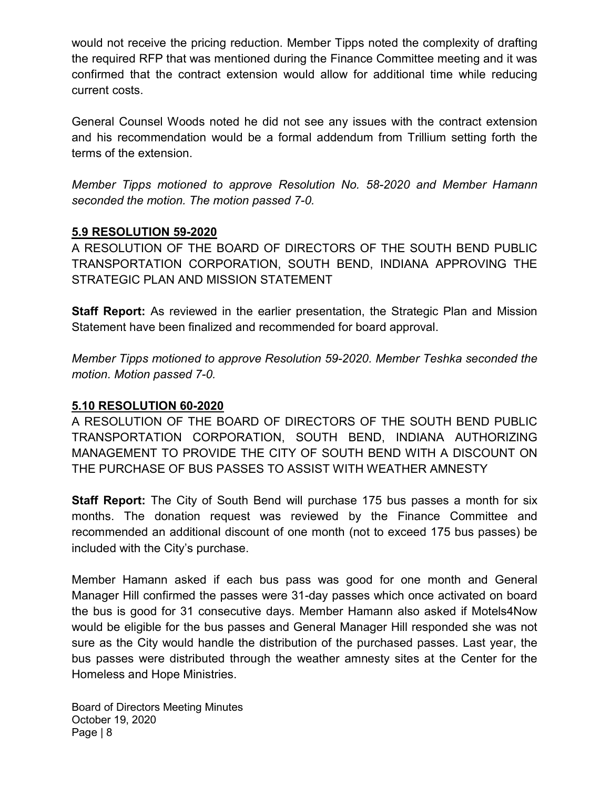would not receive the pricing reduction. Member Tipps noted the complexity of drafting the required RFP that was mentioned during the Finance Committee meeting and it was confirmed that the contract extension would allow for additional time while reducing current costs.

General Counsel Woods noted he did not see any issues with the contract extension and his recommendation would be a formal addendum from Trillium setting forth the terms of the extension.

Member Tipps motioned to approve Resolution No. 58-2020 and Member Hamann seconded the motion. The motion passed 7-0.

## 5.9 RESOLUTION 59-2020

A RESOLUTION OF THE BOARD OF DIRECTORS OF THE SOUTH BEND PUBLIC TRANSPORTATION CORPORATION, SOUTH BEND, INDIANA APPROVING THE STRATEGIC PLAN AND MISSION STATEMENT

**Staff Report:** As reviewed in the earlier presentation, the Strategic Plan and Mission Statement have been finalized and recommended for board approval.

Member Tipps motioned to approve Resolution 59-2020. Member Teshka seconded the motion. Motion passed 7-0.

### 5.10 RESOLUTION 60-2020

A RESOLUTION OF THE BOARD OF DIRECTORS OF THE SOUTH BEND PUBLIC TRANSPORTATION CORPORATION, SOUTH BEND, INDIANA AUTHORIZING MANAGEMENT TO PROVIDE THE CITY OF SOUTH BEND WITH A DISCOUNT ON THE PURCHASE OF BUS PASSES TO ASSIST WITH WEATHER AMNESTY

**Staff Report:** The City of South Bend will purchase 175 bus passes a month for six months. The donation request was reviewed by the Finance Committee and recommended an additional discount of one month (not to exceed 175 bus passes) be included with the City's purchase.

Member Hamann asked if each bus pass was good for one month and General Manager Hill confirmed the passes were 31-day passes which once activated on board the bus is good for 31 consecutive days. Member Hamann also asked if Motels4Now would be eligible for the bus passes and General Manager Hill responded she was not sure as the City would handle the distribution of the purchased passes. Last year, the bus passes were distributed through the weather amnesty sites at the Center for the Homeless and Hope Ministries.